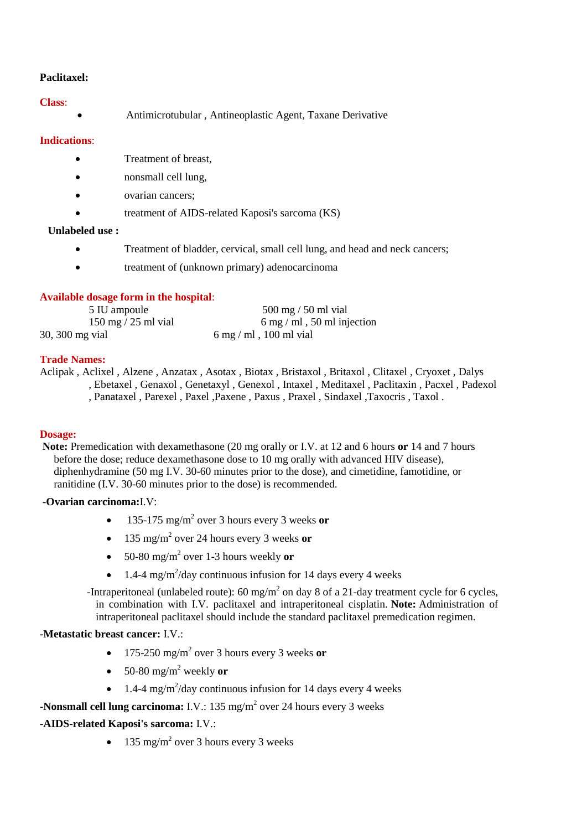## **Paclitaxel:**

## **Class**:

Antimicrotubular , Antineoplastic Agent, Taxane Derivative

## **Indications**:

- Treatment of breast,
- nonsmall cell lung,
- ovarian cancers;
- treatment of AIDS-related Kaposi's sarcoma (KS)

## **Unlabeled use :**

- Treatment of bladder, cervical, small cell lung, and head and neck cancers;
- treatment of (unknown primary) adenocarcinoma

# **Available dosage form in the hospital**:

| 5 IU ampoule                          | $500 \text{ mg}$ / 50 ml vial                |
|---------------------------------------|----------------------------------------------|
| $150 \text{ mg} / 25 \text{ ml}$ vial | $6 \text{ mg} / \text{ml}$ , 50 ml injection |
| 30, 300 mg vial                       | 6 mg/ml, 100 ml vial                         |

## **Trade Names:**

Aclipak , Aclixel , Alzene , Anzatax , Asotax , Biotax , Bristaxol , Britaxol , Clitaxel , Cryoxet , Dalys , Ebetaxel , Genaxol , Genetaxyl , Genexol , Intaxel , Meditaxel , Paclitaxin , Pacxel , Padexol , Panataxel , Parexel , Paxel ,Paxene , Paxus , Praxel , Sindaxel ,Taxocris , Taxol .

### **Dosage:**

**Note:** Premedication with dexamethasone (20 mg orally or I.V. at 12 and 6 hours **or** 14 and 7 hours before the dose; reduce dexamethasone dose to 10 mg orally with advanced HIV disease), diphenhydramine (50 mg I.V. 30-60 minutes prior to the dose), and cimetidine, famotidine, or ranitidine (I.V. 30-60 minutes prior to the dose) is recommended.

### **-Ovarian carcinoma:**I.V:

- 135-175 mg/m<sup>2</sup> over 3 hours every 3 weeks **or**
- 135 mg/m<sup>2</sup> over 24 hours every 3 weeks **or**
- 50-80 mg/m<sup>2</sup> over 1-3 hours weekly **or**
- 1.4-4 mg/m<sup>2</sup>/day continuous infusion for 14 days every 4 weeks

-Intraperitoneal (unlabeled route): 60 mg/m<sup>2</sup> on day 8 of a 21-day treatment cycle for 6 cycles, in combination with I.V. paclitaxel and intraperitoneal cisplatin. **Note:** Administration of intraperitoneal paclitaxel should include the standard paclitaxel premedication regimen.

## **-Metastatic breast cancer:** I.V.:

- 175-250 mg/m<sup>2</sup> over 3 hours every 3 weeks **or**
- $\bullet$  50-80 mg/m<sup>2</sup> weekly or
- 1.4-4 mg/m<sup>2</sup>/day continuous infusion for 14 days every 4 weeks

**-Nonsmall cell lung carcinoma:** I.V.: 135 mg/m<sup>2</sup> over 24 hours every 3 weeks

## **-AIDS-related Kaposi's sarcoma:** I.V.:

• 135 mg/m<sup>2</sup> over 3 hours every 3 weeks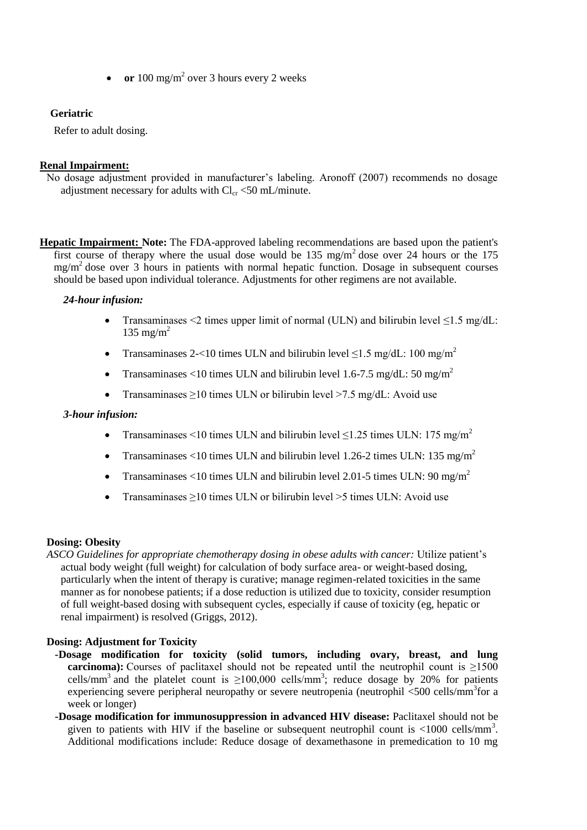• or 100 mg/m<sup>2</sup> over 3 hours every 2 weeks

## **Geriatric**

Refer to adult dosing.

### **Renal Impairment:**

No dosage adjustment provided in manufacturer's labeling. Aronoff (2007) recommends no dosage adjustment necessary for adults with  $Cl_{cr} < 50$  mL/minute.

**Hepatic Impairment: Note:** The FDA-approved labeling recommendations are based upon the patient's first course of therapy where the usual dose would be  $135 \text{ mg/m}^2$  dose over 24 hours or the 175 mg/m<sup>2</sup> dose over 3 hours in patients with normal hepatic function. Dosage in subsequent courses should be based upon individual tolerance. Adjustments for other regimens are not available.

## *24-hour infusion:*

- Transaminases <2 times upper limit of normal (ULN) and bilirubin level  $\leq 1.5$  mg/dL: 135 mg/m<sup>2</sup>
- Transaminases 2-<10 times ULN and bilirubin level  $\leq 1.5$  mg/dL: 100 mg/m<sup>2</sup>
- Transaminases <10 times ULN and bilirubin level 1.6-7.5 mg/dL: 50 mg/m<sup>2</sup>
- Transaminases  $\geq 10$  times ULN or bilirubin level  $\geq 7.5$  mg/dL: Avoid use

### *3-hour infusion:*

- Transaminases <10 times ULN and bilirubin level  $\leq$ 1.25 times ULN: 175 mg/m<sup>2</sup>
- Transaminases <10 times ULN and bilirubin level 1.26-2 times ULN: 135 mg/m<sup>2</sup>
- Transaminases <10 times ULN and bilirubin level 2.01-5 times ULN: 90 mg/m<sup>2</sup>
- Transaminases ≥10 times ULN or bilirubin level >5 times ULN: Avoid use

### **Dosing: Obesity**

*ASCO Guidelines for appropriate chemotherapy dosing in obese adults with cancer:* Utilize patient's actual body weight (full weight) for calculation of body surface area- or weight-based dosing, particularly when the intent of therapy is curative; manage regimen-related toxicities in the same manner as for nonobese patients; if a dose reduction is utilized due to toxicity, consider resumption of full weight-based dosing with subsequent cycles, especially if cause of toxicity (eg, hepatic or renal impairment) is resolved (Griggs, 2012).

### **Dosing: Adjustment for Toxicity**

- **-Dosage modification for toxicity (solid tumors, including ovary, breast, and lung carcinoma):** Courses of paclitaxel should not be repeated until the neutrophil count is >1500 cells/mm<sup>3</sup> and the platelet count is  $\geq 100,000$  cells/mm<sup>3</sup>; reduce dosage by 20% for patients experiencing severe peripheral neuropathy or severe neutropenia (neutrophil <500 cells/mm<sup>3</sup>for a week or longer)
- **-Dosage modification for immunosuppression in advanced HIV disease:** Paclitaxel should not be given to patients with HIV if the baseline or subsequent neutrophil count is  $\langle 1000 \text{ cells/mm}^3 \rangle$ . Additional modifications include: Reduce dosage of dexamethasone in premedication to 10 mg